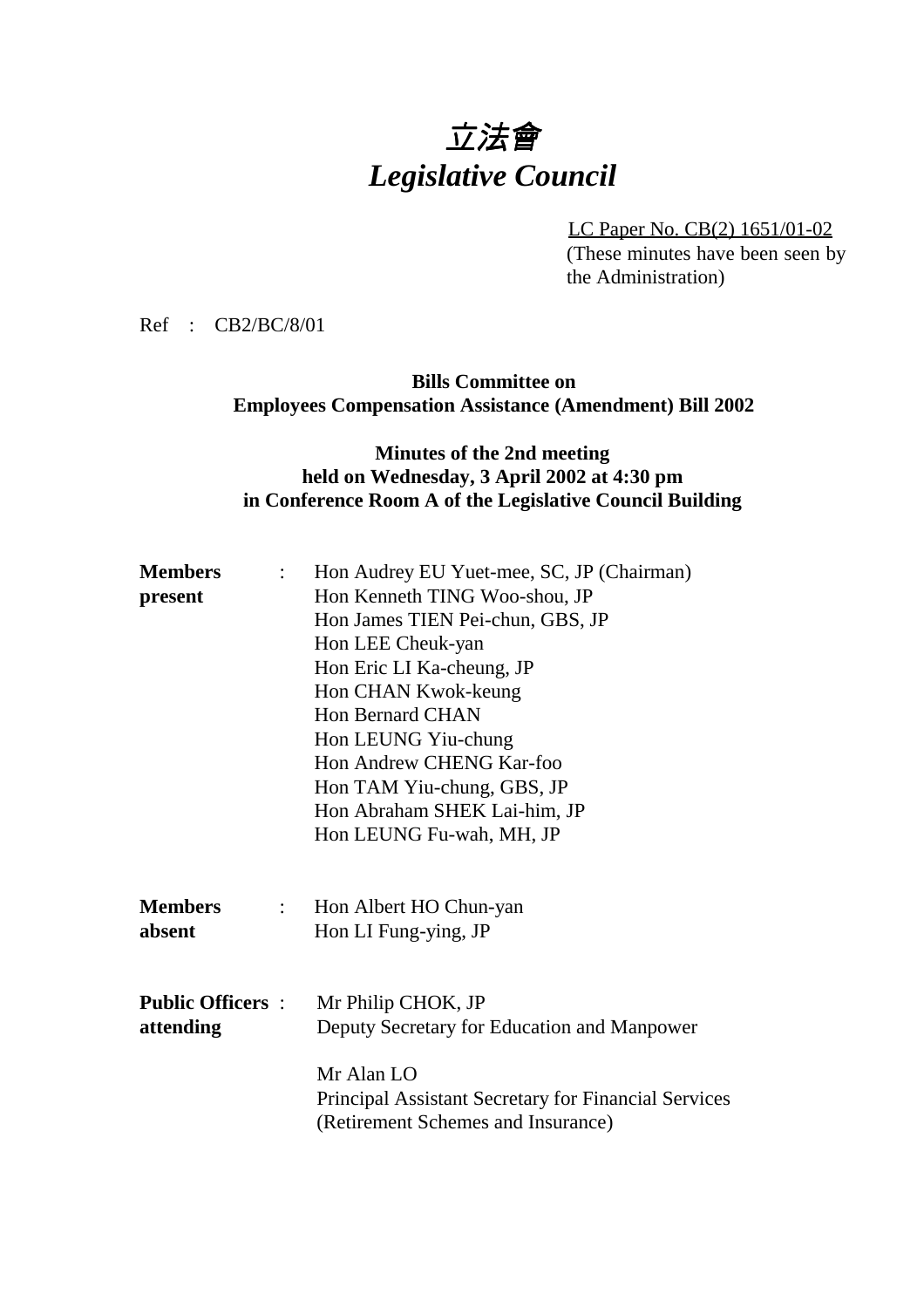# 立法會 *Legislative Council*

LC Paper No. CB(2) 1651/01-02 (These minutes have been seen by the Administration)

Ref : CB2/BC/8/01

#### **Bills Committee on Employees Compensation Assistance (Amendment) Bill 2002**

### **Minutes of the 2nd meeting held on Wednesday, 3 April 2002 at 4:30 pm in Conference Room A of the Legislative Council Building**

| <b>Members</b>          | $\mathcal{L}$             | Hon Audrey EU Yuet-mee, SC, JP (Chairman)            |
|-------------------------|---------------------------|------------------------------------------------------|
| present                 |                           | Hon Kenneth TING Woo-shou, JP                        |
|                         |                           | Hon James TIEN Pei-chun, GBS, JP                     |
|                         |                           | Hon LEE Cheuk-yan                                    |
|                         |                           | Hon Eric LI Ka-cheung, JP                            |
|                         |                           | Hon CHAN Kwok-keung                                  |
|                         |                           | <b>Hon Bernard CHAN</b>                              |
|                         |                           | Hon LEUNG Yiu-chung                                  |
|                         |                           | Hon Andrew CHENG Kar-foo                             |
|                         |                           | Hon TAM Yiu-chung, GBS, JP                           |
|                         |                           | Hon Abraham SHEK Lai-him, JP                         |
|                         |                           | Hon LEUNG Fu-wah, MH, JP                             |
|                         |                           |                                                      |
| <b>Members</b>          | $\mathbb{R}^{\mathbb{Z}}$ | Hon Albert HO Chun-yan                               |
| absent                  |                           | Hon LI Fung-ying, JP                                 |
|                         |                           |                                                      |
|                         |                           |                                                      |
| <b>Public Officers:</b> |                           | Mr Philip CHOK, JP                                   |
| attending               |                           | Deputy Secretary for Education and Manpower          |
|                         |                           | Mr Alan LO                                           |
|                         |                           | Principal Assistant Secretary for Financial Services |
|                         |                           | (Retirement Schemes and Insurance)                   |
|                         |                           |                                                      |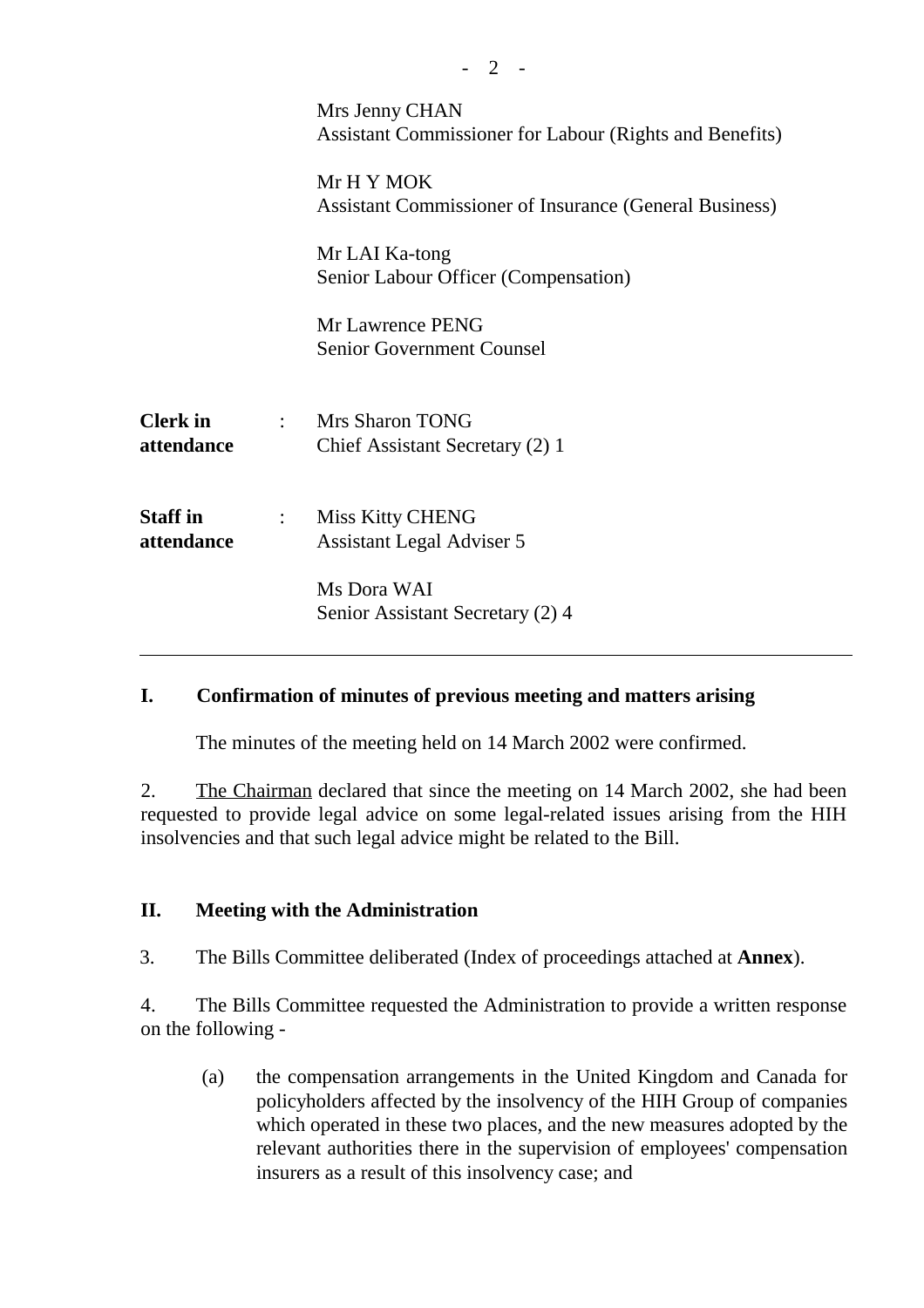|                               |                           | Mrs Jenny CHAN<br>Assistant Commissioner for Labour (Rights and Benefits) |
|-------------------------------|---------------------------|---------------------------------------------------------------------------|
|                               |                           | Mr H Y MOK<br>Assistant Commissioner of Insurance (General Business)      |
|                               |                           | Mr LAI Ka-tong<br>Senior Labour Officer (Compensation)                    |
|                               |                           | Mr Lawrence PENG<br><b>Senior Government Counsel</b>                      |
| <b>Clerk</b> in<br>attendance |                           | : Mrs Sharon TONG<br>Chief Assistant Secretary (2) 1                      |
| <b>Staff</b> in<br>attendance | $\mathbb{Z}^{\mathbb{Z}}$ | <b>Miss Kitty CHENG</b><br><b>Assistant Legal Adviser 5</b>               |
|                               |                           | Ms Dora WAI<br>Senior Assistant Secretary (2) 4                           |

### **I. Confirmation of minutes of previous meeting and matters arising**

The minutes of the meeting held on 14 March 2002 were confirmed.

2. The Chairman declared that since the meeting on 14 March 2002, she had been requested to provide legal advice on some legal-related issues arising from the HIH insolvencies and that such legal advice might be related to the Bill.

### **II. Meeting with the Administration**

3. The Bills Committee deliberated (Index of proceedings attached at **Annex**).

4. The Bills Committee requested the Administration to provide a written response on the following -

(a) the compensation arrangements in the United Kingdom and Canada for policyholders affected by the insolvency of the HIH Group of companies which operated in these two places, and the new measures adopted by the relevant authorities there in the supervision of employees' compensation insurers as a result of this insolvency case; and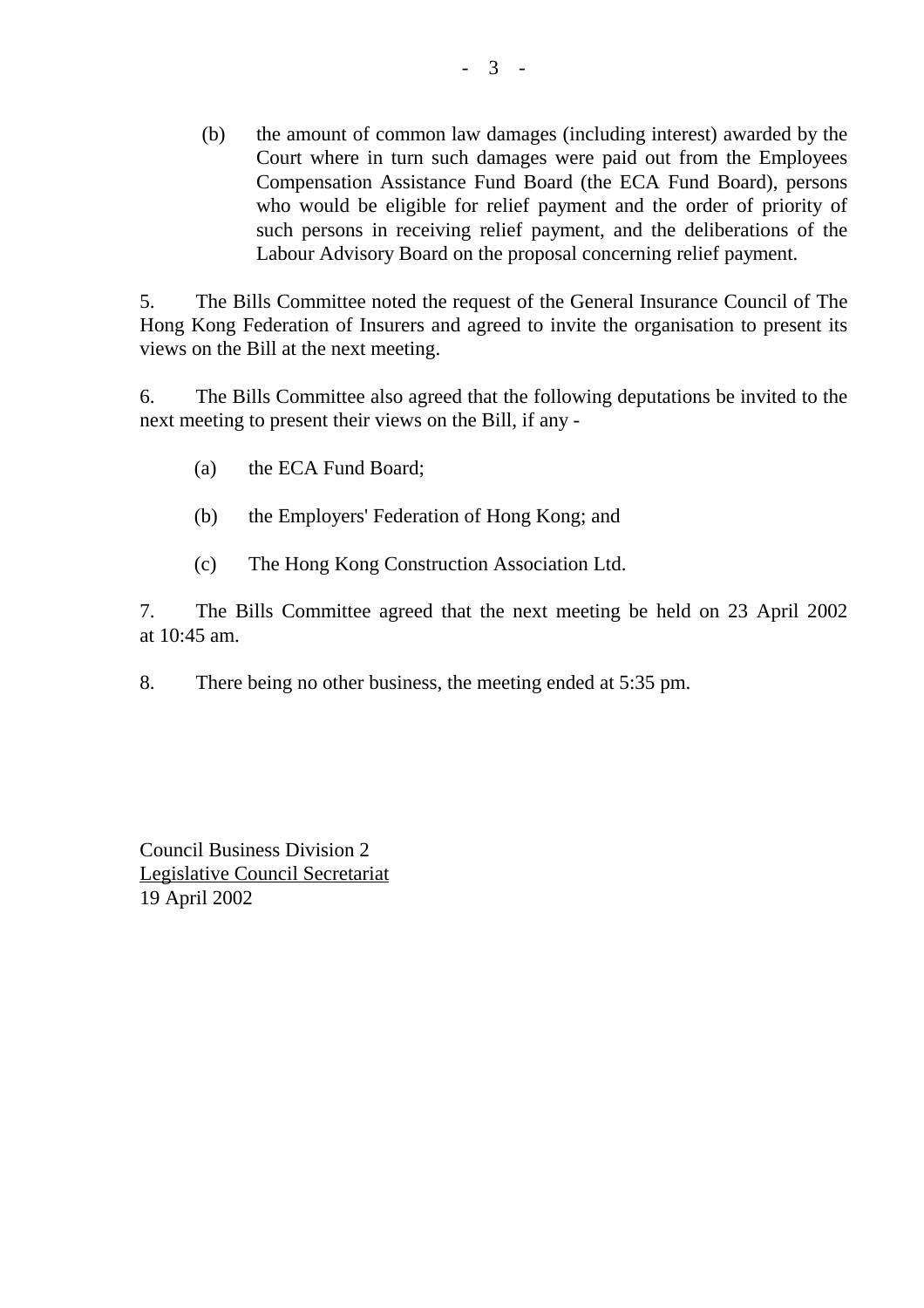(b) the amount of common law damages (including interest) awarded by the Court where in turn such damages were paid out from the Employees Compensation Assistance Fund Board (the ECA Fund Board), persons who would be eligible for relief payment and the order of priority of such persons in receiving relief payment, and the deliberations of the Labour Advisory Board on the proposal concerning relief payment.

5. The Bills Committee noted the request of the General Insurance Council of The Hong Kong Federation of Insurers and agreed to invite the organisation to present its views on the Bill at the next meeting.

6. The Bills Committee also agreed that the following deputations be invited to the next meeting to present their views on the Bill, if any -

- (a) the ECA Fund Board;
- (b) the Employers' Federation of Hong Kong; and
- (c) The Hong Kong Construction Association Ltd.

7. The Bills Committee agreed that the next meeting be held on 23 April 2002 at 10:45 am.

8. There being no other business, the meeting ended at 5:35 pm.

Council Business Division 2 Legislative Council Secretariat 19 April 2002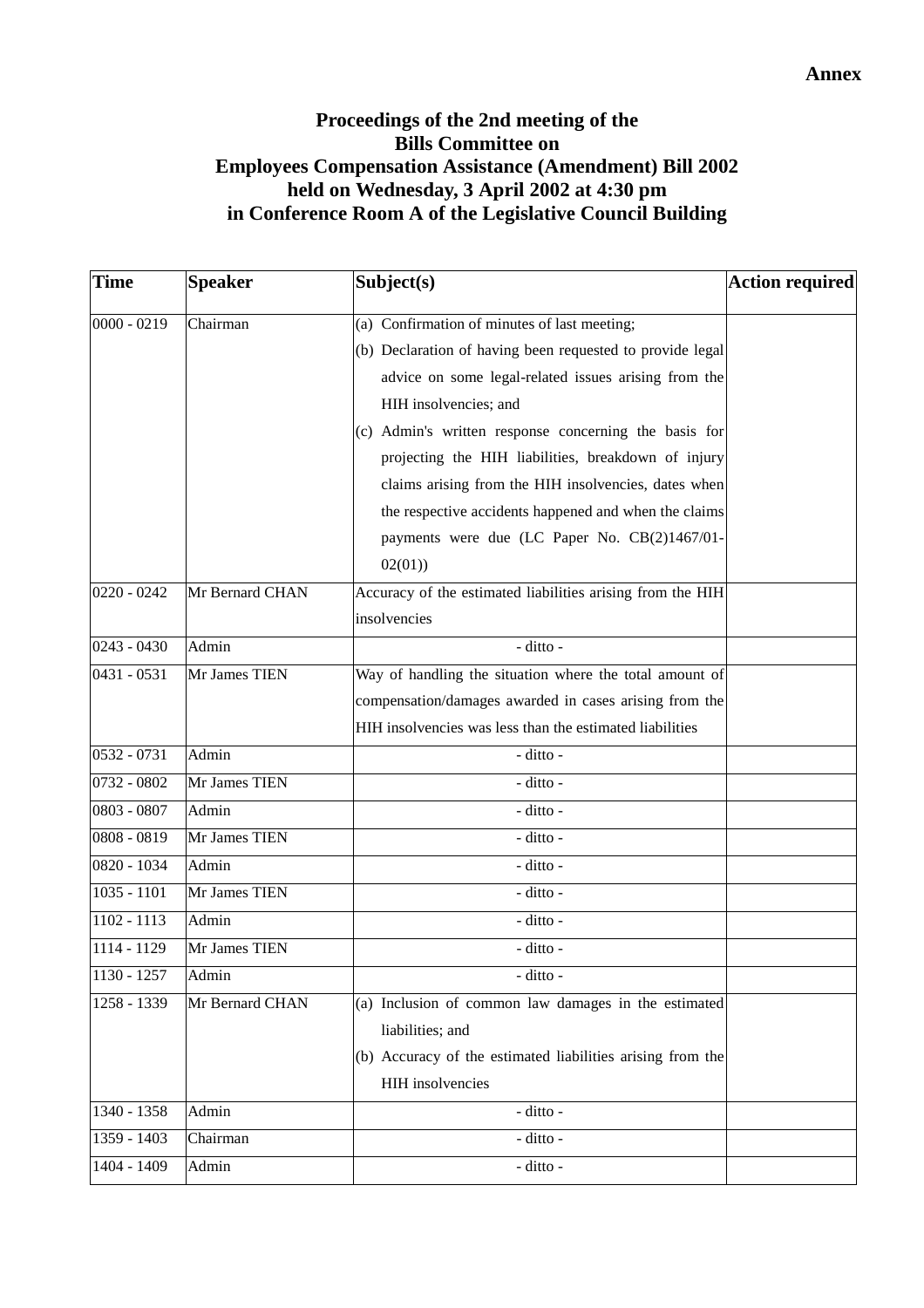| <b>Time</b>   | <b>Speaker</b>  | Subject(s)                                                               | Action required |
|---------------|-----------------|--------------------------------------------------------------------------|-----------------|
| $0000 - 0219$ | Chairman        | (a) Confirmation of minutes of last meeting;                             |                 |
|               |                 | (b) Declaration of having been requested to provide legal                |                 |
|               |                 | advice on some legal-related issues arising from the                     |                 |
|               |                 | HIH insolvencies; and                                                    |                 |
|               |                 | (c) Admin's written response concerning the basis for                    |                 |
|               |                 | projecting the HIH liabilities, breakdown of injury                      |                 |
|               |                 | claims arising from the HIH insolvencies, dates when                     |                 |
|               |                 | the respective accidents happened and when the claims                    |                 |
|               |                 | payments were due (LC Paper No. CB(2)1467/01-                            |                 |
|               |                 | 02(01)                                                                   |                 |
| $0220 - 0242$ | Mr Bernard CHAN | Accuracy of the estimated liabilities arising from the HIH               |                 |
|               |                 | insolvencies                                                             |                 |
| $0243 - 0430$ | Admin           | - ditto -                                                                |                 |
| $0431 - 0531$ | Mr James TIEN   | Way of handling the situation where the total amount of                  |                 |
|               |                 | compensation/damages awarded in cases arising from the                   |                 |
|               |                 | HIH insolvencies was less than the estimated liabilities                 |                 |
| 0532 - 0731   | Admin           | - ditto -                                                                |                 |
| 0732 - 0802   | Mr James TIEN   | - ditto -                                                                |                 |
| 0803 - 0807   | Admin           | - ditto -                                                                |                 |
| 0808 - 0819   | Mr James TIEN   | - ditto -                                                                |                 |
| 0820 - 1034   | Admin           | - ditto -                                                                |                 |
| $1035 - 1101$ | Mr James TIEN   | - ditto -                                                                |                 |
| 1102 - 1113   | Admin           | - ditto -                                                                |                 |
| $1114 - 1129$ | Mr James TIEN   | - ditto -                                                                |                 |
| 1130 - 1257   | Admin           | - ditto -                                                                |                 |
| 1258 - 1339   | Mr Bernard CHAN | (a) Inclusion of common law damages in the estimated<br>liabilities; and |                 |
|               |                 | (b) Accuracy of the estimated liabilities arising from the               |                 |
|               |                 | HIH insolvencies                                                         |                 |
| 1340 - 1358   | Admin           | - ditto -                                                                |                 |
| 1359 - 1403   | Chairman        | - ditto -                                                                |                 |
| 1404 - 1409   | Admin           | - ditto -                                                                |                 |
|               |                 |                                                                          |                 |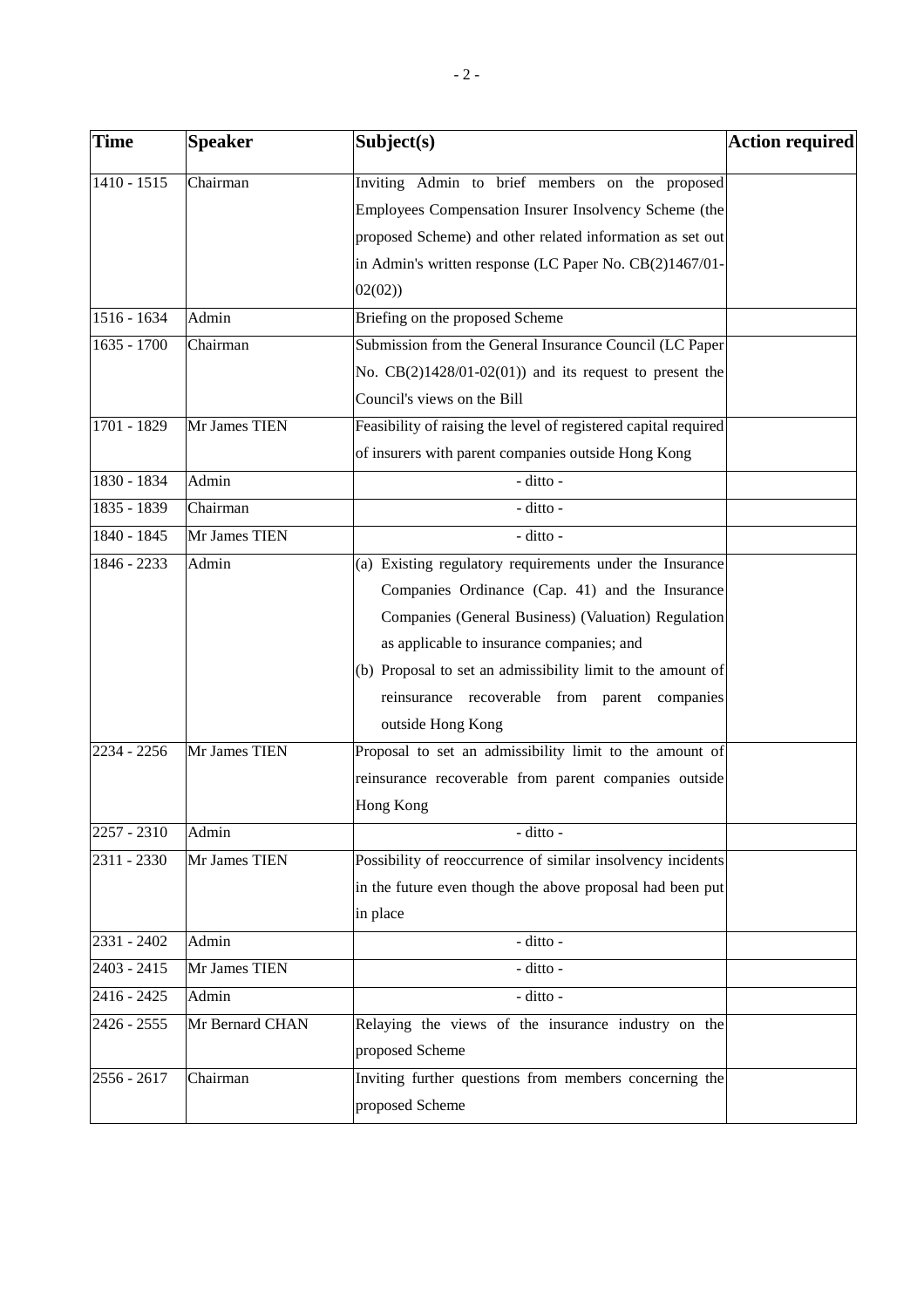| <b>Time</b>   | <b>Speaker</b>  | Subject(s)                                                      | Action required |
|---------------|-----------------|-----------------------------------------------------------------|-----------------|
| 1410 - 1515   | Chairman        | Inviting Admin to brief members on the proposed                 |                 |
|               |                 | Employees Compensation Insurer Insolvency Scheme (the           |                 |
|               |                 | proposed Scheme) and other related information as set out       |                 |
|               |                 | in Admin's written response (LC Paper No. CB(2)1467/01-         |                 |
|               |                 | 02(02)                                                          |                 |
| 1516 - 1634   | Admin           | Briefing on the proposed Scheme                                 |                 |
| 1635 - 1700   | Chairman        | Submission from the General Insurance Council (LC Paper         |                 |
|               |                 | No. $CB(2)1428/01-02(01)$ and its request to present the        |                 |
|               |                 | Council's views on the Bill                                     |                 |
| 1701 - 1829   | Mr James TIEN   | Feasibility of raising the level of registered capital required |                 |
|               |                 | of insurers with parent companies outside Hong Kong             |                 |
| 1830 - 1834   | Admin           | $-$ ditto $-$                                                   |                 |
| 1835 - 1839   | Chairman        | - ditto -                                                       |                 |
| 1840 - 1845   | Mr James TIEN   | - ditto -                                                       |                 |
| $1846 - 2233$ | Admin           | (a) Existing regulatory requirements under the Insurance        |                 |
|               |                 | Companies Ordinance (Cap. 41) and the Insurance                 |                 |
|               |                 | Companies (General Business) (Valuation) Regulation             |                 |
|               |                 | as applicable to insurance companies; and                       |                 |
|               |                 | (b) Proposal to set an admissibility limit to the amount of     |                 |
|               |                 | reinsurance recoverable from parent companies                   |                 |
|               |                 | outside Hong Kong                                               |                 |
| 2234 - 2256   | Mr James TIEN   | Proposal to set an admissibility limit to the amount of         |                 |
|               |                 | reinsurance recoverable from parent companies outside           |                 |
|               |                 | Hong Kong                                                       |                 |
| 2257 - 2310   | Admin           | - ditto -                                                       |                 |
| 2311 - 2330   | Mr James TIEN   | Possibility of reoccurrence of similar insolvency incidents     |                 |
|               |                 | in the future even though the above proposal had been put       |                 |
|               |                 | in place                                                        |                 |
| 2331 - 2402   | Admin           | - ditto -                                                       |                 |
| 2403 - 2415   | Mr James TIEN   | - ditto -                                                       |                 |
| 2416 - 2425   | Admin           | - ditto -                                                       |                 |
| 2426 - 2555   | Mr Bernard CHAN | Relaying the views of the insurance industry on the             |                 |
|               |                 | proposed Scheme                                                 |                 |
| 2556 - 2617   | Chairman        | Inviting further questions from members concerning the          |                 |
|               |                 | proposed Scheme                                                 |                 |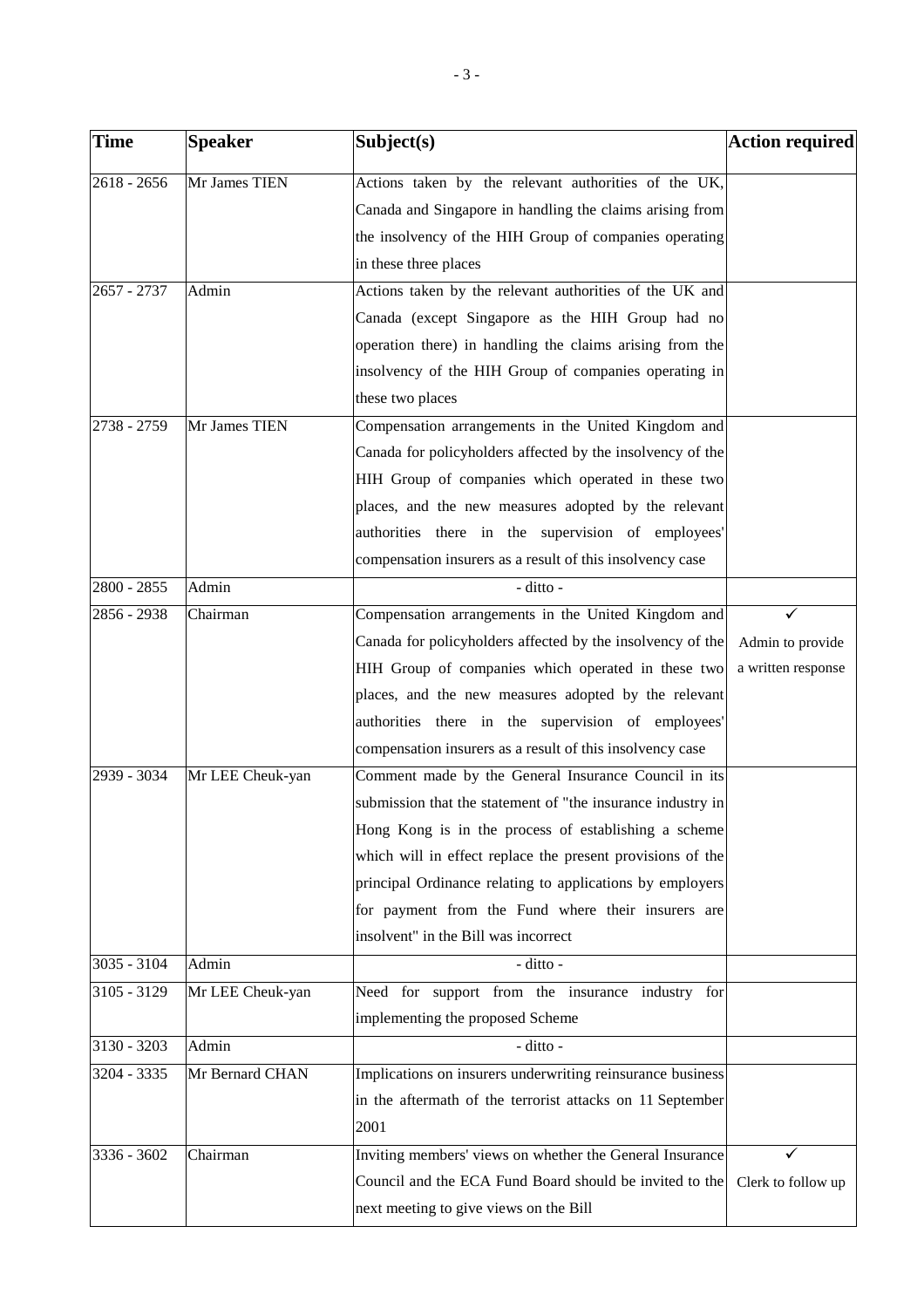| <b>Time</b>   | <b>Speaker</b>   | Subject(s)                                                  | <b>Action required</b> |
|---------------|------------------|-------------------------------------------------------------|------------------------|
| $2618 - 2656$ | Mr James TIEN    | Actions taken by the relevant authorities of the UK,        |                        |
|               |                  | Canada and Singapore in handling the claims arising from    |                        |
|               |                  | the insolvency of the HIH Group of companies operating      |                        |
|               |                  | in these three places                                       |                        |
| $2657 - 2737$ | Admin            | Actions taken by the relevant authorities of the UK and     |                        |
|               |                  | Canada (except Singapore as the HIH Group had no            |                        |
|               |                  | operation there) in handling the claims arising from the    |                        |
|               |                  | insolvency of the HIH Group of companies operating in       |                        |
|               |                  | these two places                                            |                        |
| 2738 - 2759   | Mr James TIEN    | Compensation arrangements in the United Kingdom and         |                        |
|               |                  | Canada for policyholders affected by the insolvency of the  |                        |
|               |                  | HIH Group of companies which operated in these two          |                        |
|               |                  | places, and the new measures adopted by the relevant        |                        |
|               |                  | authorities there in the supervision of employees'          |                        |
|               |                  | compensation insurers as a result of this insolvency case   |                        |
| 2800 - 2855   | Admin            | - ditto -                                                   |                        |
| 2856 - 2938   | Chairman         | Compensation arrangements in the United Kingdom and         |                        |
|               |                  | Canada for policyholders affected by the insolvency of the  | Admin to provide       |
|               |                  | HIH Group of companies which operated in these two          | a written response     |
|               |                  | places, and the new measures adopted by the relevant        |                        |
|               |                  | authorities there in the supervision of employees'          |                        |
|               |                  | compensation insurers as a result of this insolvency case   |                        |
| 2939 - 3034   | Mr LEE Cheuk-yan | Comment made by the General Insurance Council in its        |                        |
|               |                  | submission that the statement of "the insurance industry in |                        |
|               |                  | Hong Kong is in the process of establishing a scheme        |                        |
|               |                  | which will in effect replace the present provisions of the  |                        |
|               |                  | principal Ordinance relating to applications by employers   |                        |
|               |                  | for payment from the Fund where their insurers are          |                        |
|               |                  | insolvent" in the Bill was incorrect                        |                        |
| 3035 - 3104   | Admin            | - ditto -                                                   |                        |
| $3105 - 3129$ | Mr LEE Cheuk-yan | Need for support from the insurance industry for            |                        |
|               |                  | implementing the proposed Scheme                            |                        |
| 3130 - 3203   | Admin            | - ditto -                                                   |                        |
| 3204 - 3335   | Mr Bernard CHAN  | Implications on insurers underwriting reinsurance business  |                        |
|               |                  | in the aftermath of the terrorist attacks on 11 September   |                        |
|               |                  | 2001                                                        |                        |
| 3336 - 3602   | Chairman         | Inviting members' views on whether the General Insurance    |                        |
|               |                  | Council and the ECA Fund Board should be invited to the     | Clerk to follow up     |
|               |                  | next meeting to give views on the Bill                      |                        |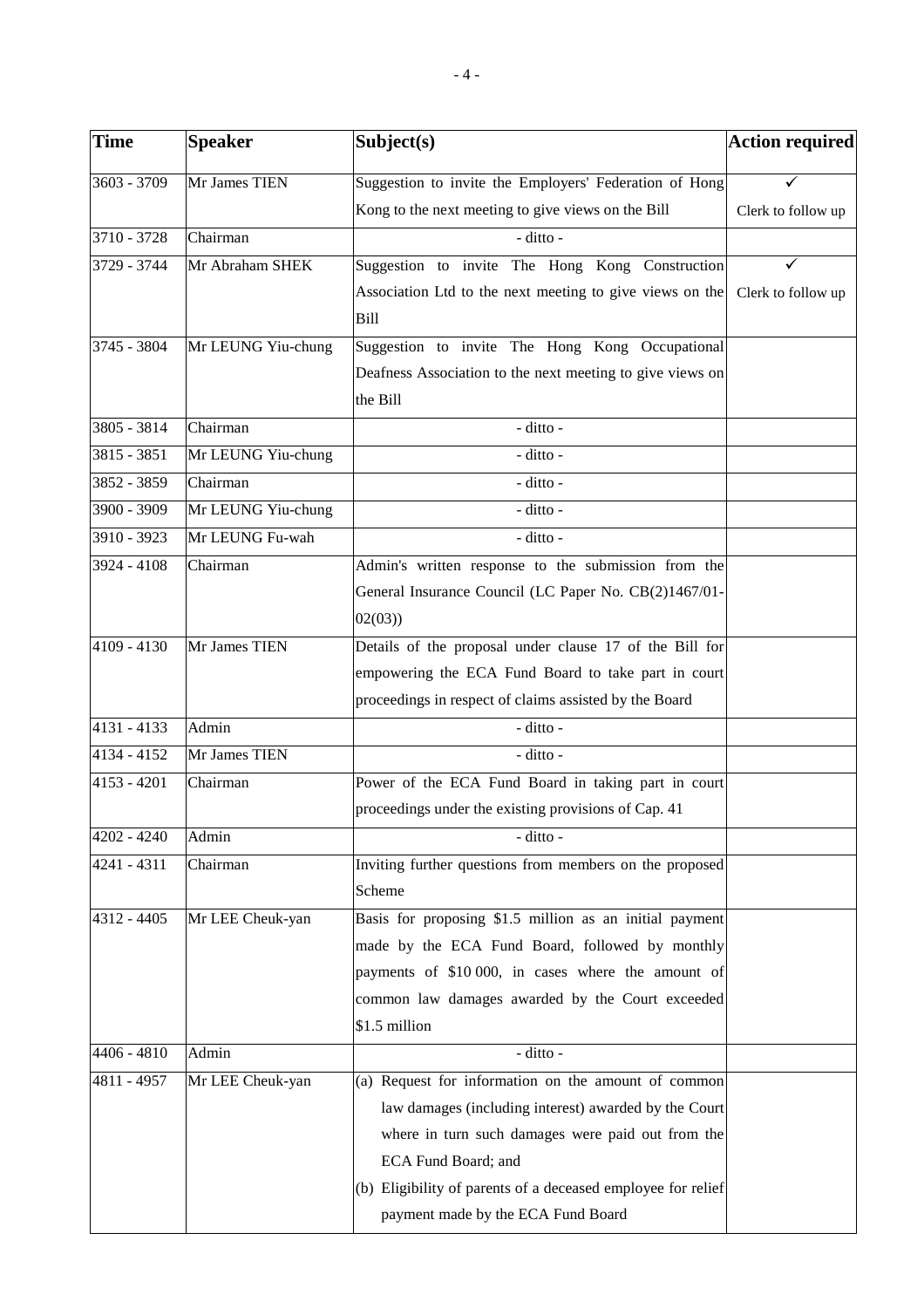| <b>Time</b>   | <b>Speaker</b>     | Subject(s)                                                   | Action required    |
|---------------|--------------------|--------------------------------------------------------------|--------------------|
| 3603 - 3709   | Mr James TIEN      | Suggestion to invite the Employers' Federation of Hong       |                    |
|               |                    | Kong to the next meeting to give views on the Bill           | Clerk to follow up |
| 3710 - 3728   | Chairman           | - ditto -                                                    |                    |
| 3729 - 3744   | Mr Abraham SHEK    | Suggestion to invite The Hong Kong Construction              | ✓                  |
|               |                    | Association Ltd to the next meeting to give views on the     | Clerk to follow up |
|               |                    | <b>Bill</b>                                                  |                    |
| 3745 - 3804   | Mr LEUNG Yiu-chung | Suggestion to invite The Hong Kong Occupational              |                    |
|               |                    | Deafness Association to the next meeting to give views on    |                    |
|               |                    | the Bill                                                     |                    |
| 3805 - 3814   | Chairman           | - ditto -                                                    |                    |
| 3815 - 3851   | Mr LEUNG Yiu-chung | - ditto -                                                    |                    |
| 3852 - 3859   | Chairman           | - ditto -                                                    |                    |
| 3900 - 3909   | Mr LEUNG Yiu-chung | - ditto -                                                    |                    |
| 3910 - 3923   | Mr LEUNG Fu-wah    | - ditto -                                                    |                    |
| 3924 - 4108   | Chairman           | Admin's written response to the submission from the          |                    |
|               |                    | General Insurance Council (LC Paper No. CB(2)1467/01-        |                    |
|               |                    | 02(03)                                                       |                    |
| $4109 - 4130$ | Mr James TIEN      | Details of the proposal under clause 17 of the Bill for      |                    |
|               |                    | empowering the ECA Fund Board to take part in court          |                    |
|               |                    | proceedings in respect of claims assisted by the Board       |                    |
| 4131 - 4133   | Admin              | - ditto -                                                    |                    |
| 4134 - 4152   | Mr James TIEN      | - ditto -                                                    |                    |
| $4153 - 4201$ | Chairman           | Power of the ECA Fund Board in taking part in court          |                    |
|               |                    | proceedings under the existing provisions of Cap. 41         |                    |
| $4202 - 4240$ | Admin              | - ditto -                                                    |                    |
| 4241 - 4311   | Chairman           | Inviting further questions from members on the proposed      |                    |
|               |                    | Scheme                                                       |                    |
| 4312 - 4405   | Mr LEE Cheuk-yan   | Basis for proposing \$1.5 million as an initial payment      |                    |
|               |                    | made by the ECA Fund Board, followed by monthly              |                    |
|               |                    | payments of \$10 000, in cases where the amount of           |                    |
|               |                    | common law damages awarded by the Court exceeded             |                    |
|               |                    | \$1.5 million                                                |                    |
| 4406 - 4810   | Admin              | - ditto -                                                    |                    |
| 4811 - 4957   | Mr LEE Cheuk-yan   | (a) Request for information on the amount of common          |                    |
|               |                    | law damages (including interest) awarded by the Court        |                    |
|               |                    | where in turn such damages were paid out from the            |                    |
|               |                    | ECA Fund Board; and                                          |                    |
|               |                    | (b) Eligibility of parents of a deceased employee for relief |                    |
|               |                    | payment made by the ECA Fund Board                           |                    |